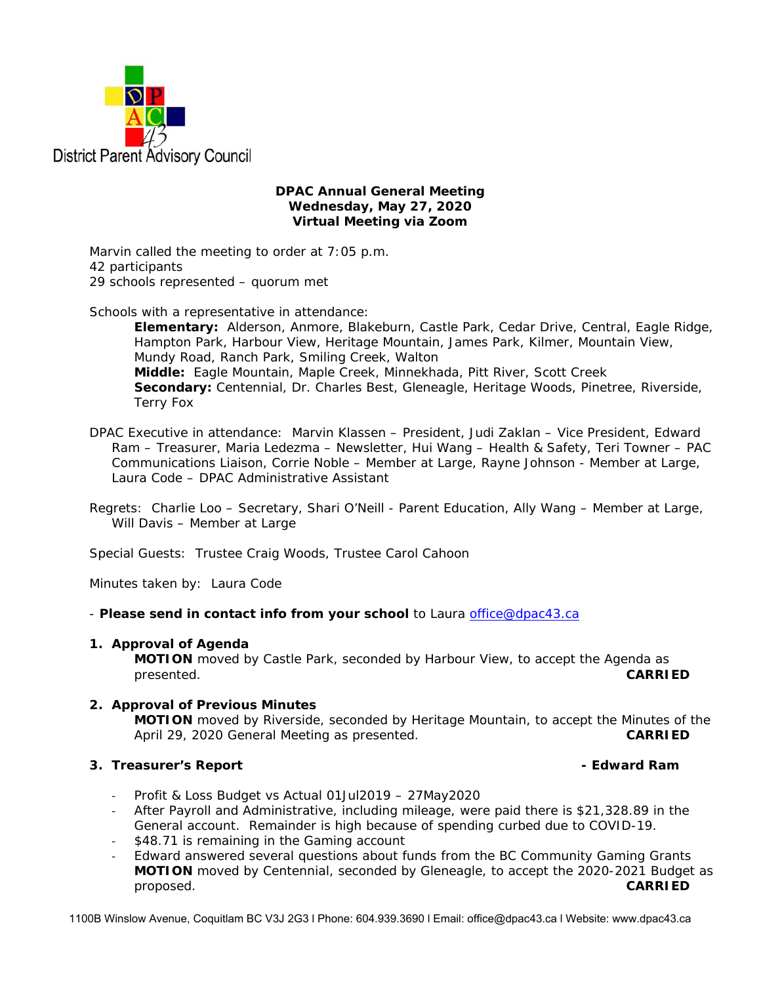

## **DPAC Annual General Meeting Wednesday, May 27, 2020 Virtual Meeting via Zoom**

Marvin called the meeting to order at 7:05 p.m. 42 participants 29 schools represented – quorum met

Schools with a representative in attendance:

**Elementary:** Alderson, Anmore, Blakeburn, Castle Park, Cedar Drive, Central, Eagle Ridge, Hampton Park, Harbour View, Heritage Mountain, James Park, Kilmer, Mountain View, Mundy Road, Ranch Park, Smiling Creek, Walton **Middle:** Eagle Mountain, Maple Creek, Minnekhada, Pitt River, Scott Creek **Secondary:** Centennial, Dr. Charles Best, Gleneagle, Heritage Woods, Pinetree, Riverside, Terry Fox

- DPAC Executive in attendance: Marvin Klassen President, Judi Zaklan Vice President, Edward Ram – Treasurer, Maria Ledezma – Newsletter, Hui Wang – Health & Safety, Teri Towner – PAC Communications Liaison, Corrie Noble – Member at Large, Rayne Johnson - Member at Large, Laura Code – DPAC Administrative Assistant
- Regrets: Charlie Loo Secretary, Shari O'Neill Parent Education, Ally Wang Member at Large, Will Davis – Member at Large

Special Guests: Trustee Craig Woods, Trustee Carol Cahoon

Minutes taken by: Laura Code

- *Please send in contact info from your school* to Laura office@dpac43.ca

# **1. Approval of Agenda**

**MOTION** moved by *Castle Park*, seconded by *Harbour View*, to accept the Agenda as presented. **CARRIED** 

# **2. Approval of Previous Minutes**

 **MOTION** moved by *Riverside*, seconded by Heritage Mountain, to accept the Minutes of the April 29, 2020 General Meeting as presented. **CARRIED** 

# **3. Treasurer's Report Contract Contract Contract Contract Contract Contract Contract Contract Contract Contract Contract Contract Contract Contract Contract Contract Contract Contract Contract Contract Contract Contra**

- ‐ Profit & Loss Budget vs Actual 01Jul2019 27May2020
- ‐ After Payroll and Administrative, including mileage, were paid there is \$21,328.89 in the General account. Remainder is high because of spending curbed due to COVID-19.
- ‐ \$48.71 is remaining in the Gaming account
- ‐ Edward answered several questions about funds from the BC Community Gaming Grants  **MOTION** moved by *Centennial*, seconded by *Gleneagle*, to accept the 2020-2021 Budget as proposed. **CARRIED**

1100B Winslow Avenue, Coquitlam BC V3J 2G3 l Phone: 604.939.3690 l Email: office@dpac43.ca l Website: www.dpac43.ca